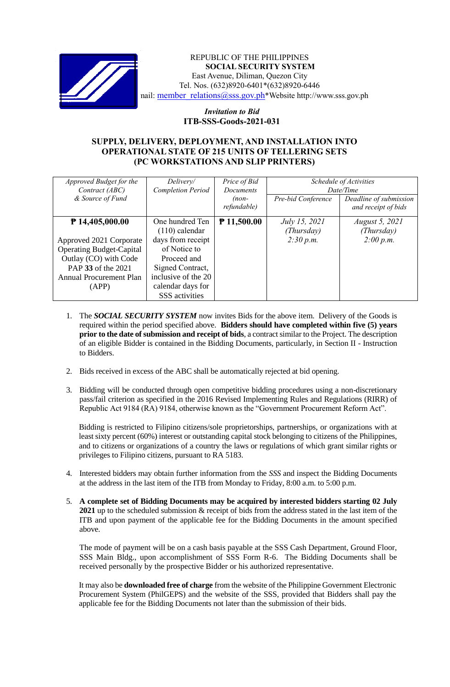

REPUBLIC OF THE PHILIPPINES **SOCIAL SECURITY SYSTEM** East Avenue, Diliman, Quezon City Tel. Nos. (632)8920-6401\*(632)8920-6446 nail: [member\\_relations@sss.gov.ph](mailto:member_relations@sss.gov.ph)\*Website http://www.sss.gov.ph

## *Invitation to Bid*  **ITB-SSS-Goods-2021-031**

## **SUPPLY, DELIVERY, DEPLOYMENT, AND INSTALLATION INTO OPERATIONAL STATE OF 215 UNITS OF TELLERING SETS (PC WORKSTATIONS AND SLIP PRINTERS)**

| Approved Budget for the<br>Contract (ABC)<br>& Source of Fund                                                                                                             | Delivery/<br><b>Completion Period</b>                                                                                                                                            | Price of Bid<br>Documents<br>$(non-$<br>refundable) | Pre-bid Conference                              | Schedule of Activities<br>Date/Time<br>Deadline of submission<br>and receipt of bids |
|---------------------------------------------------------------------------------------------------------------------------------------------------------------------------|----------------------------------------------------------------------------------------------------------------------------------------------------------------------------------|-----------------------------------------------------|-------------------------------------------------|--------------------------------------------------------------------------------------|
| $P$ 14,405,000.00<br>Approved 2021 Corporate<br><b>Operating Budget-Capital</b><br>Outlay (CO) with Code<br>PAP 33 of the 2021<br><b>Annual Procurement Plan</b><br>(APP) | One hundred Ten<br>$(110)$ calendar<br>days from receipt<br>of Notice to<br>Proceed and<br>Signed Contract,<br>inclusive of the 20<br>calendar days for<br><b>SSS</b> activities | ₹ 11,500.00                                         | <i>July 15, 2021</i><br>(Thursday)<br>2:30 p.m. | <i>August 5, 2021</i><br>(Thursday)<br>2:00 p.m.                                     |

- 1. The *SOCIAL SECURITY SYSTEM* now invites Bids for the above item. Delivery of the Goods is required within the period specified above. **Bidders should have completed within five (5) years prior to the date of submission and receipt of bids**, a contract similar to the Project. The description of an eligible Bidder is contained in the Bidding Documents, particularly, in Section II - Instruction to Bidders.
- 2. Bids received in excess of the ABC shall be automatically rejected at bid opening.
- 3. Bidding will be conducted through open competitive bidding procedures using a non-discretionary pass/fail criterion as specified in the 2016 Revised Implementing Rules and Regulations (RIRR) of Republic Act 9184 (RA) 9184, otherwise known as the "Government Procurement Reform Act".

Bidding is restricted to Filipino citizens/sole proprietorships, partnerships, or organizations with at least sixty percent (60%) interest or outstanding capital stock belonging to citizens of the Philippines, and to citizens or organizations of a country the laws or regulations of which grant similar rights or privileges to Filipino citizens, pursuant to RA 5183.

- 4. Interested bidders may obtain further information from the *SSS* and inspect the Bidding Documents at the address in the last item of the ITB from Monday to Friday, 8:00 a.m. to 5:00 p.m.
- 5. **A complete set of Bidding Documents may be acquired by interested bidders starting 02 July 2021** up to the scheduled submission & receipt of bids from the address stated in the last item of the ITB and upon payment of the applicable fee for the Bidding Documents in the amount specified above.

The mode of payment will be on a cash basis payable at the SSS Cash Department, Ground Floor, SSS Main Bldg., upon accomplishment of SSS Form R-6. The Bidding Documents shall be received personally by the prospective Bidder or his authorized representative.

It may also be **downloaded free of charge** from the website of the Philippine Government Electronic Procurement System (PhilGEPS) and the website of the SSS*,* provided that Bidders shall pay the applicable fee for the Bidding Documents not later than the submission of their bids.